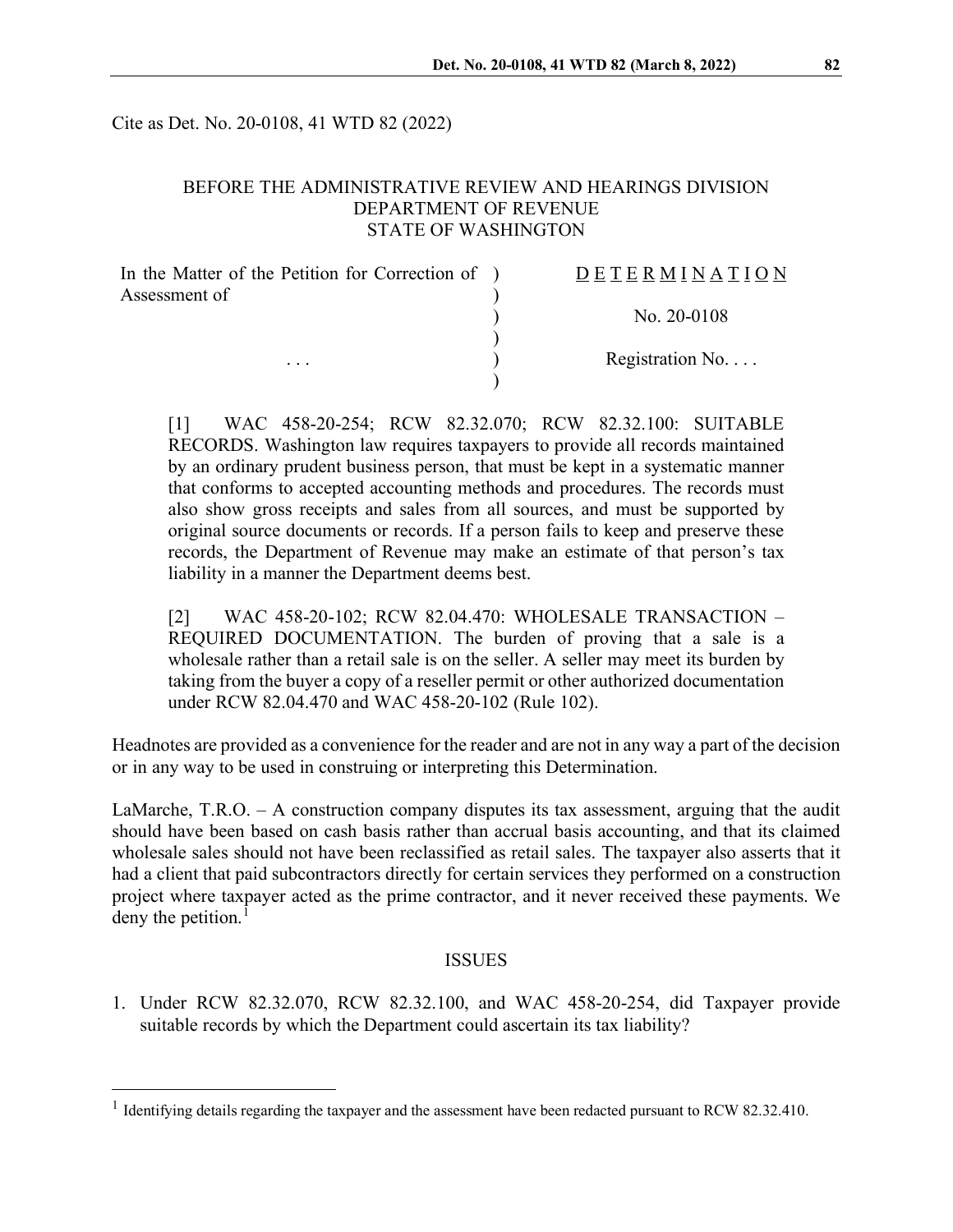Cite as Det. No. 20-0108, 41 WTD 82 (2022)

### BEFORE THE ADMINISTRATIVE REVIEW AND HEARINGS DIVISION DEPARTMENT OF REVENUE STATE OF WASHINGTON

| <b>DETERMINATION</b>      |
|---------------------------|
|                           |
| No. $20-0108$             |
| Registration No. $\ldots$ |
|                           |

[1] WAC 458-20-254; RCW 82.32.070; RCW 82.32.100: SUITABLE RECORDS. Washington law requires taxpayers to provide all records maintained by an ordinary prudent business person, that must be kept in a systematic manner that conforms to accepted accounting methods and procedures. The records must also show gross receipts and sales from all sources, and must be supported by original source documents or records. If a person fails to keep and preserve these records, the Department of Revenue may make an estimate of that person's tax liability in a manner the Department deems best.

[2] WAC 458-20-102; RCW 82.04.470: WHOLESALE TRANSACTION – REQUIRED DOCUMENTATION. The burden of proving that a sale is a wholesale rather than a retail sale is on the seller. A seller may meet its burden by taking from the buyer a copy of a reseller permit or other authorized documentation under RCW 82.04.470 and WAC 458-20-102 (Rule 102).

Headnotes are provided as a convenience for the reader and are not in any way a part of the decision or in any way to be used in construing or interpreting this Determination.

LaMarche, T.R.O. – A construction company disputes its tax assessment, arguing that the audit should have been based on cash basis rather than accrual basis accounting, and that its claimed wholesale sales should not have been reclassified as retail sales. The taxpayer also asserts that it had a client that paid subcontractors directly for certain services they performed on a construction project where taxpayer acted as the prime contractor, and it never received these payments. We deny the petition.<sup>[1](#page-0-0)</sup>

#### ISSUES

1. Under RCW 82.32.070, RCW 82.32.100, and WAC 458-20-254, did Taxpayer provide suitable records by which the Department could ascertain its tax liability?

<span id="page-0-0"></span><sup>&</sup>lt;sup>1</sup> Identifying details regarding the taxpayer and the assessment have been redacted pursuant to RCW 82.32.410.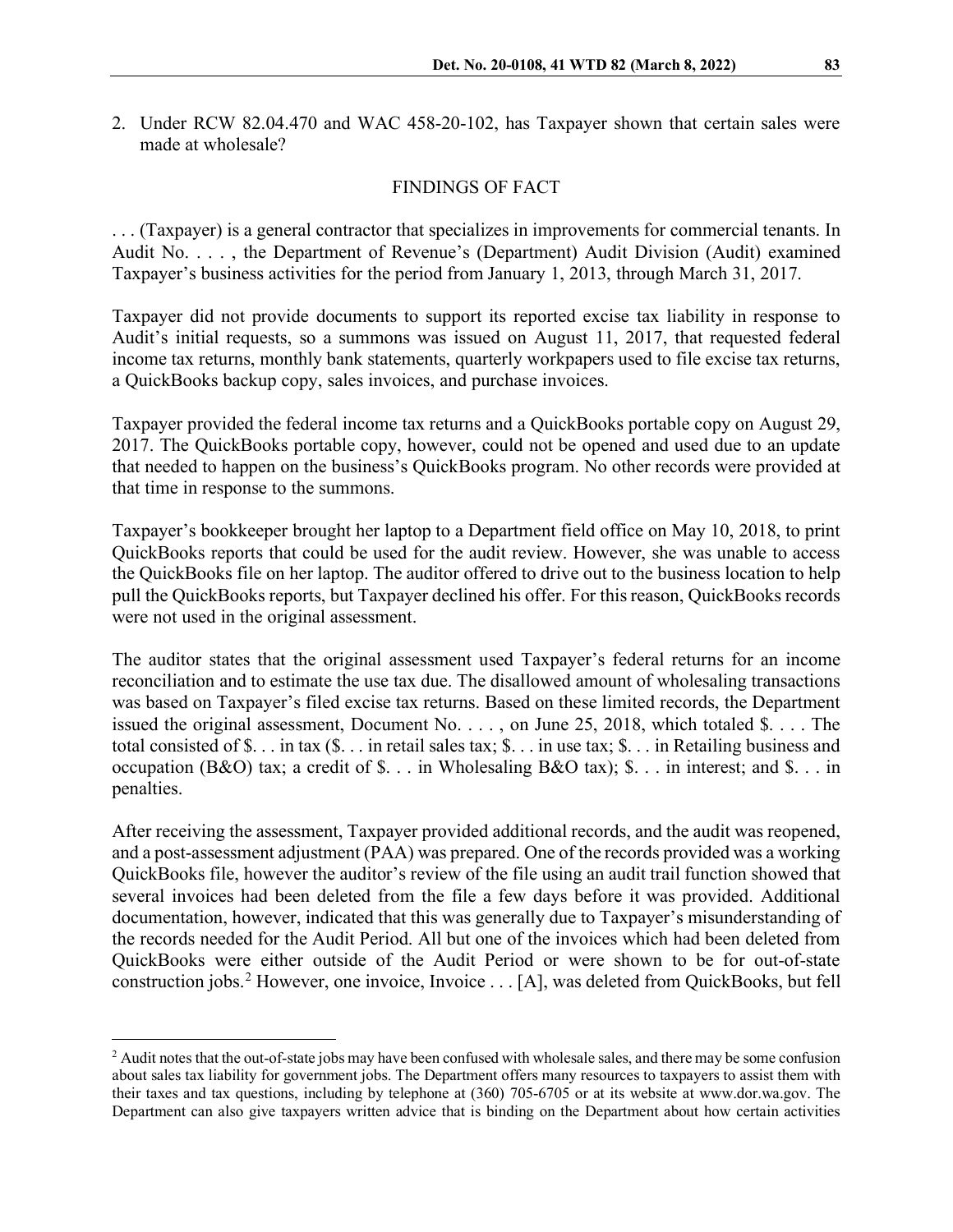2. Under RCW 82.04.470 and WAC 458-20-102, has Taxpayer shown that certain sales were made at wholesale?

#### FINDINGS OF FACT

. . . (Taxpayer) is a general contractor that specializes in improvements for commercial tenants. In Audit No. . . . , the Department of Revenue's (Department) Audit Division (Audit) examined Taxpayer's business activities for the period from January 1, 2013, through March 31, 2017.

Taxpayer did not provide documents to support its reported excise tax liability in response to Audit's initial requests, so a summons was issued on August 11, 2017, that requested federal income tax returns, monthly bank statements, quarterly workpapers used to file excise tax returns, a QuickBooks backup copy, sales invoices, and purchase invoices.

Taxpayer provided the federal income tax returns and a QuickBooks portable copy on August 29, 2017. The QuickBooks portable copy, however, could not be opened and used due to an update that needed to happen on the business's QuickBooks program. No other records were provided at that time in response to the summons.

Taxpayer's bookkeeper brought her laptop to a Department field office on May 10, 2018, to print QuickBooks reports that could be used for the audit review. However, she was unable to access the QuickBooks file on her laptop. The auditor offered to drive out to the business location to help pull the QuickBooks reports, but Taxpayer declined his offer. For this reason, QuickBooks records were not used in the original assessment.

The auditor states that the original assessment used Taxpayer's federal returns for an income reconciliation and to estimate the use tax due. The disallowed amount of wholesaling transactions was based on Taxpayer's filed excise tax returns. Based on these limited records, the Department issued the original assessment, Document No. . . . , on June 25, 2018, which totaled \$. . . . The total consisted of \$. . . in tax (\$. . . in retail sales tax; \$. . . in use tax; \$. . . in Retailing business and occupation (B&O) tax; a credit of \$. . . in Wholesaling B&O tax); \$. . . in interest; and \$. . . in penalties.

After receiving the assessment, Taxpayer provided additional records, and the audit was reopened, and a post-assessment adjustment (PAA) was prepared. One of the records provided was a working QuickBooks file, however the auditor's review of the file using an audit trail function showed that several invoices had been deleted from the file a few days before it was provided. Additional documentation, however, indicated that this was generally due to Taxpayer's misunderstanding of the records needed for the Audit Period. All but one of the invoices which had been deleted from QuickBooks were either outside of the Audit Period or were shown to be for out-of-state construction jobs.<sup>[2](#page-1-0)</sup> However, one invoice, Invoice  $\dots$  [A], was deleted from QuickBooks, but fell

<span id="page-1-0"></span><sup>&</sup>lt;sup>2</sup> Audit notes that the out-of-state jobs may have been confused with wholesale sales, and there may be some confusion about sales tax liability for government jobs. The Department offers many resources to taxpayers to assist them with their taxes and tax questions, including by telephone at (360) 705-6705 or at its website at www.dor.wa.gov. The Department can also give taxpayers written advice that is binding on the Department about how certain activities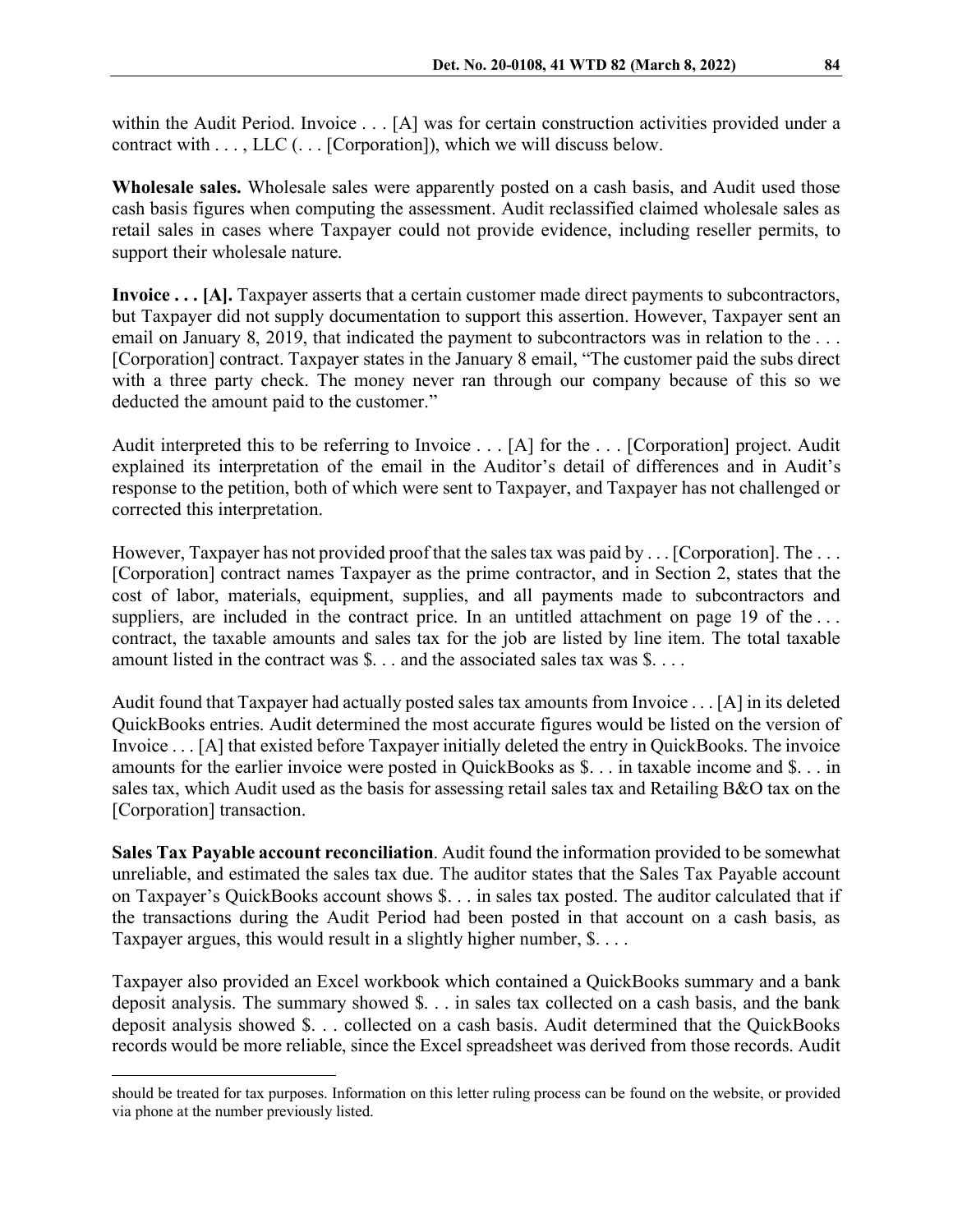within the Audit Period. Invoice . . . [A] was for certain construction activities provided under a contract with  $\dots$ , LLC  $(\dots$  [Corporation]), which we will discuss below.

**Wholesale sales.** Wholesale sales were apparently posted on a cash basis, and Audit used those cash basis figures when computing the assessment. Audit reclassified claimed wholesale sales as retail sales in cases where Taxpayer could not provide evidence, including reseller permits, to support their wholesale nature.

**Invoice . . . [A].** Taxpayer asserts that a certain customer made direct payments to subcontractors, but Taxpayer did not supply documentation to support this assertion. However, Taxpayer sent an email on January 8, 2019, that indicated the payment to subcontractors was in relation to the ... [Corporation] contract. Taxpayer states in the January 8 email, "The customer paid the subs direct with a three party check. The money never ran through our company because of this so we deducted the amount paid to the customer."

Audit interpreted this to be referring to Invoice . . . [A] for the . . . [Corporation] project. Audit explained its interpretation of the email in the Auditor's detail of differences and in Audit's response to the petition, both of which were sent to Taxpayer, and Taxpayer has not challenged or corrected this interpretation.

However, Taxpayer has not provided proof that the sales tax was paid by . . . [Corporation]. The . . . [Corporation] contract names Taxpayer as the prime contractor, and in Section 2, states that the cost of labor, materials, equipment, supplies, and all payments made to subcontractors and suppliers, are included in the contract price. In an untitled attachment on page 19 of the ... contract, the taxable amounts and sales tax for the job are listed by line item. The total taxable amount listed in the contract was \$. . . and the associated sales tax was \$. . . .

Audit found that Taxpayer had actually posted sales tax amounts from Invoice . . . [A] in its deleted QuickBooks entries. Audit determined the most accurate figures would be listed on the version of Invoice . . . [A] that existed before Taxpayer initially deleted the entry in QuickBooks. The invoice amounts for the earlier invoice were posted in QuickBooks as \$. . . in taxable income and \$. . . in sales tax, which Audit used as the basis for assessing retail sales tax and Retailing B&O tax on the [Corporation] transaction.

**Sales Tax Payable account reconciliation**. Audit found the information provided to be somewhat unreliable, and estimated the sales tax due. The auditor states that the Sales Tax Payable account on Taxpayer's QuickBooks account shows \$. . . in sales tax posted. The auditor calculated that if the transactions during the Audit Period had been posted in that account on a cash basis, as Taxpayer argues, this would result in a slightly higher number,  $\S$ ....

Taxpayer also provided an Excel workbook which contained a QuickBooks summary and a bank deposit analysis. The summary showed \$. . . in sales tax collected on a cash basis, and the bank deposit analysis showed \$. . . collected on a cash basis. Audit determined that the QuickBooks records would be more reliable, since the Excel spreadsheet was derived from those records. Audit

should be treated for tax purposes. Information on this letter ruling process can be found on the website, or provided via phone at the number previously listed.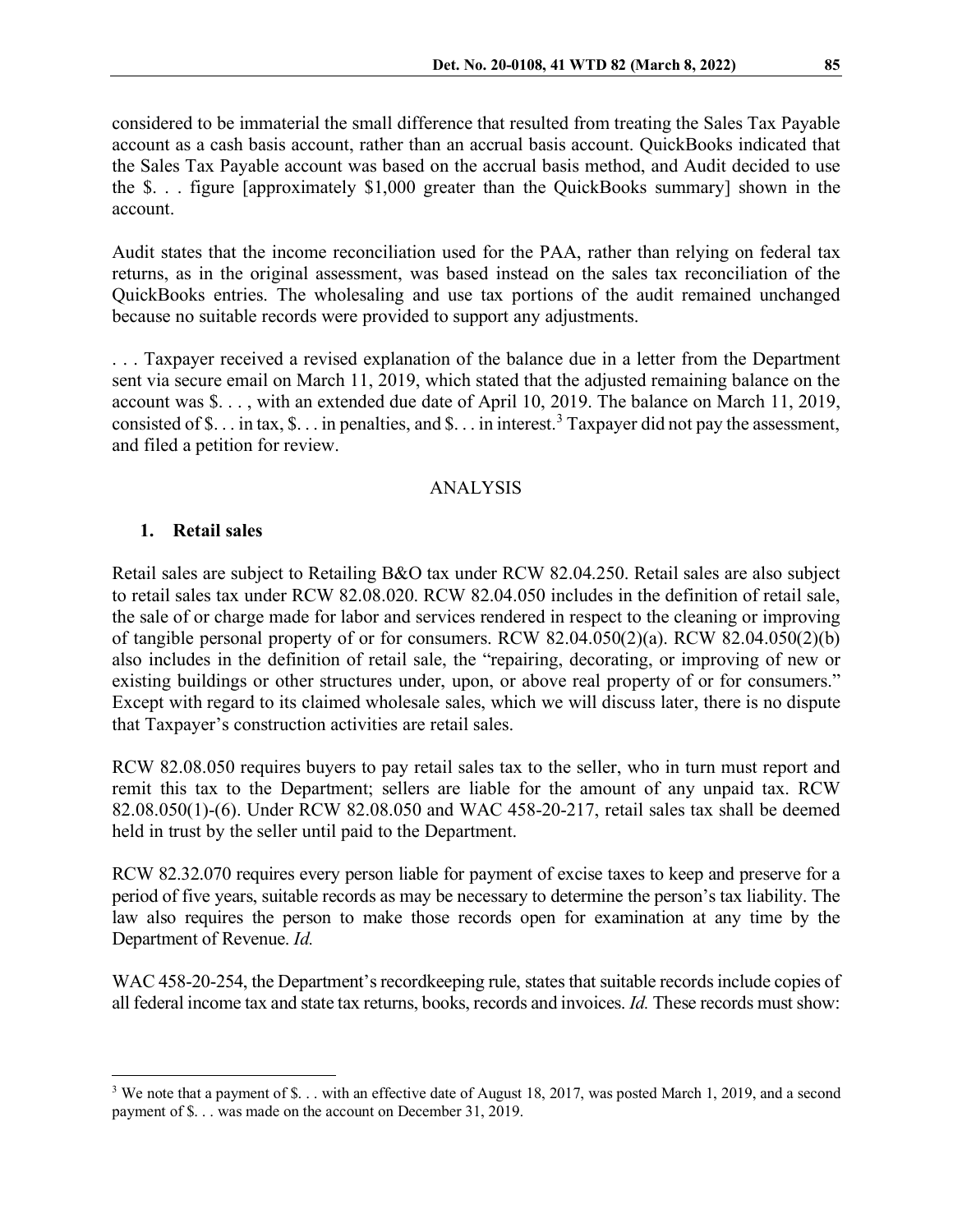considered to be immaterial the small difference that resulted from treating the Sales Tax Payable account as a cash basis account, rather than an accrual basis account. QuickBooks indicated that the Sales Tax Payable account was based on the accrual basis method, and Audit decided to use the \$. . . figure [approximately \$1,000 greater than the QuickBooks summary] shown in the account.

Audit states that the income reconciliation used for the PAA, rather than relying on federal tax returns, as in the original assessment, was based instead on the sales tax reconciliation of the QuickBooks entries. The wholesaling and use tax portions of the audit remained unchanged because no suitable records were provided to support any adjustments.

. . . Taxpayer received a revised explanation of the balance due in a letter from the Department sent via secure email on March 11, 2019, which stated that the adjusted remaining balance on the account was \$. . . , with an extended due date of April 10, 2019. The balance on March 11, 2019, consisted of \$... in tax, \$... in penalties, and \$... in interest.<sup>[3](#page-3-0)</sup> Taxpayer did not pay the assessment, and filed a petition for review.

## ANALYSIS

#### **1. Retail sales**

Retail sales are subject to Retailing B&O tax under RCW 82.04.250. Retail sales are also subject to retail sales tax under RCW 82.08.020. RCW 82.04.050 includes in the definition of retail sale, the sale of or charge made for labor and services rendered in respect to the cleaning or improving of tangible personal property of or for consumers. RCW 82.04.050(2)(a). RCW 82.04.050(2)(b) also includes in the definition of retail sale, the "repairing, decorating, or improving of new or existing buildings or other structures under, upon, or above real property of or for consumers." Except with regard to its claimed wholesale sales, which we will discuss later, there is no dispute that Taxpayer's construction activities are retail sales.

RCW 82.08.050 requires buyers to pay retail sales tax to the seller, who in turn must report and remit this tax to the Department; sellers are liable for the amount of any unpaid tax. RCW 82.08.050(1)-(6). Under RCW 82.08.050 and WAC 458-20-217, retail sales tax shall be deemed held in trust by the seller until paid to the Department.

RCW 82.32.070 requires every person liable for payment of excise taxes to keep and preserve for a period of five years, suitable records as may be necessary to determine the person's tax liability. The law also requires the person to make those records open for examination at any time by the Department of Revenue. *Id.*

WAC 458-20-254, the Department's record keeping rule, states that suitable records include copies of all federal income tax and state tax returns, books, records and invoices. *Id.* These records must show:

<span id="page-3-0"></span><sup>&</sup>lt;sup>3</sup> We note that a payment of \$... with an effective date of August 18, 2017, was posted March 1, 2019, and a second payment of \$. . . was made on the account on December 31, 2019.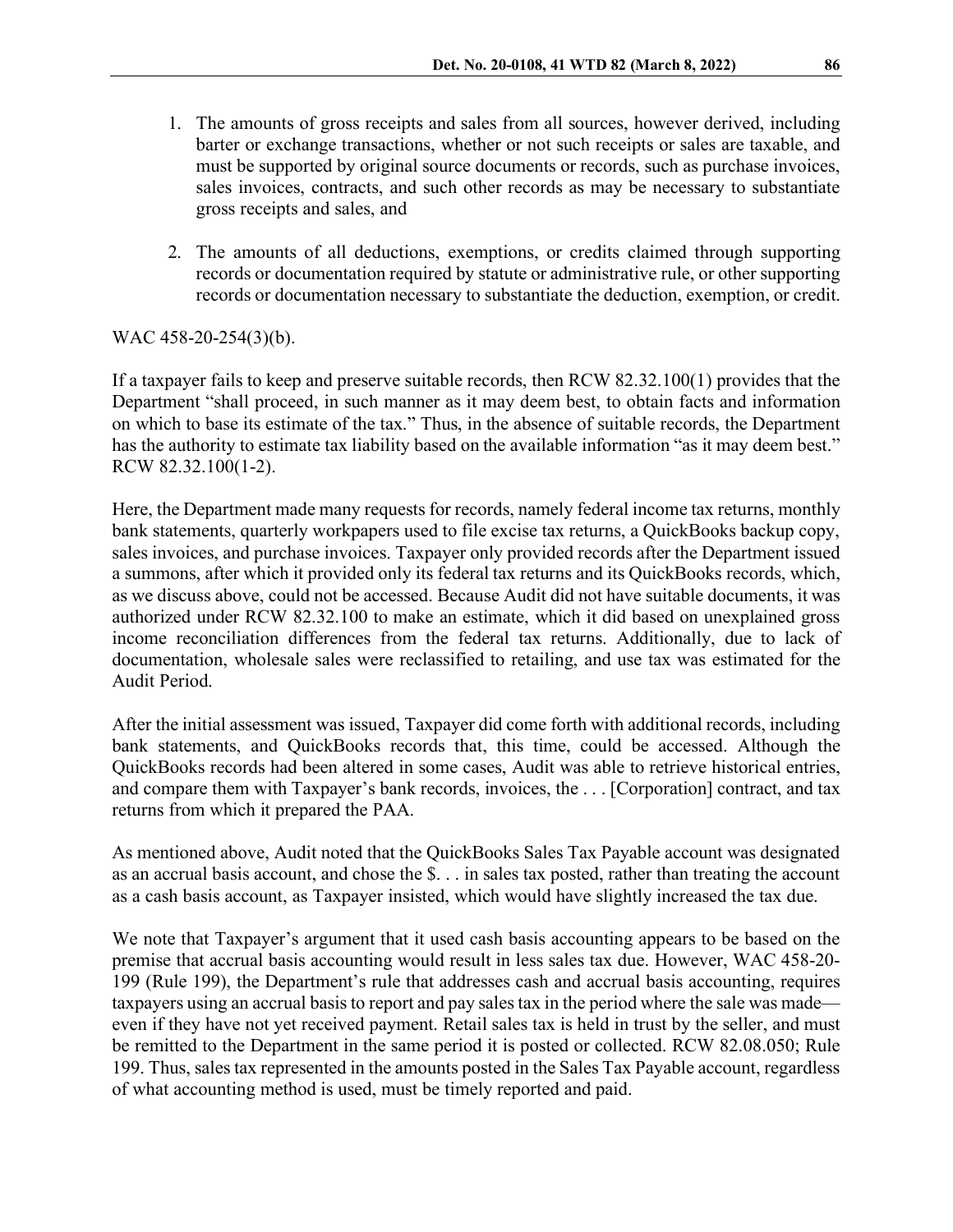- 1. The amounts of gross receipts and sales from all sources, however derived, including barter or exchange transactions, whether or not such receipts or sales are taxable, and must be supported by original source documents or records, such as purchase invoices, sales invoices, contracts, and such other records as may be necessary to substantiate gross receipts and sales, and
- 2. The amounts of all deductions, exemptions, or credits claimed through supporting records or documentation required by statute or administrative rule, or other supporting records or documentation necessary to substantiate the deduction, exemption, or credit.

#### WAC 458-20-254(3)(b).

If a taxpayer fails to keep and preserve suitable records, then RCW 82.32.100(1) provides that the Department "shall proceed, in such manner as it may deem best, to obtain facts and information on which to base its estimate of the tax." Thus, in the absence of suitable records, the Department has the authority to estimate tax liability based on the available information "as it may deem best." RCW 82.32.100(1-2).

Here, the Department made many requests for records, namely federal income tax returns, monthly bank statements, quarterly workpapers used to file excise tax returns, a QuickBooks backup copy, sales invoices, and purchase invoices. Taxpayer only provided records after the Department issued a summons, after which it provided only its federal tax returns and its QuickBooks records, which, as we discuss above, could not be accessed. Because Audit did not have suitable documents, it was authorized under RCW 82.32.100 to make an estimate, which it did based on unexplained gross income reconciliation differences from the federal tax returns. Additionally, due to lack of documentation, wholesale sales were reclassified to retailing, and use tax was estimated for the Audit Period.

After the initial assessment was issued, Taxpayer did come forth with additional records, including bank statements, and QuickBooks records that, this time, could be accessed. Although the QuickBooks records had been altered in some cases, Audit was able to retrieve historical entries, and compare them with Taxpayer's bank records, invoices, the . . . [Corporation] contract, and tax returns from which it prepared the PAA.

As mentioned above, Audit noted that the QuickBooks Sales Tax Payable account was designated as an accrual basis account, and chose the \$. . . in sales tax posted, rather than treating the account as a cash basis account, as Taxpayer insisted, which would have slightly increased the tax due.

We note that Taxpayer's argument that it used cash basis accounting appears to be based on the premise that accrual basis accounting would result in less sales tax due. However, WAC 458-20- 199 (Rule 199), the Department's rule that addresses cash and accrual basis accounting, requires taxpayers using an accrual basis to report and pay sales tax in the period where the sale was made even if they have not yet received payment. Retail sales tax is held in trust by the seller, and must be remitted to the Department in the same period it is posted or collected. RCW 82.08.050; Rule 199. Thus, sales tax represented in the amounts posted in the Sales Tax Payable account, regardless of what accounting method is used, must be timely reported and paid.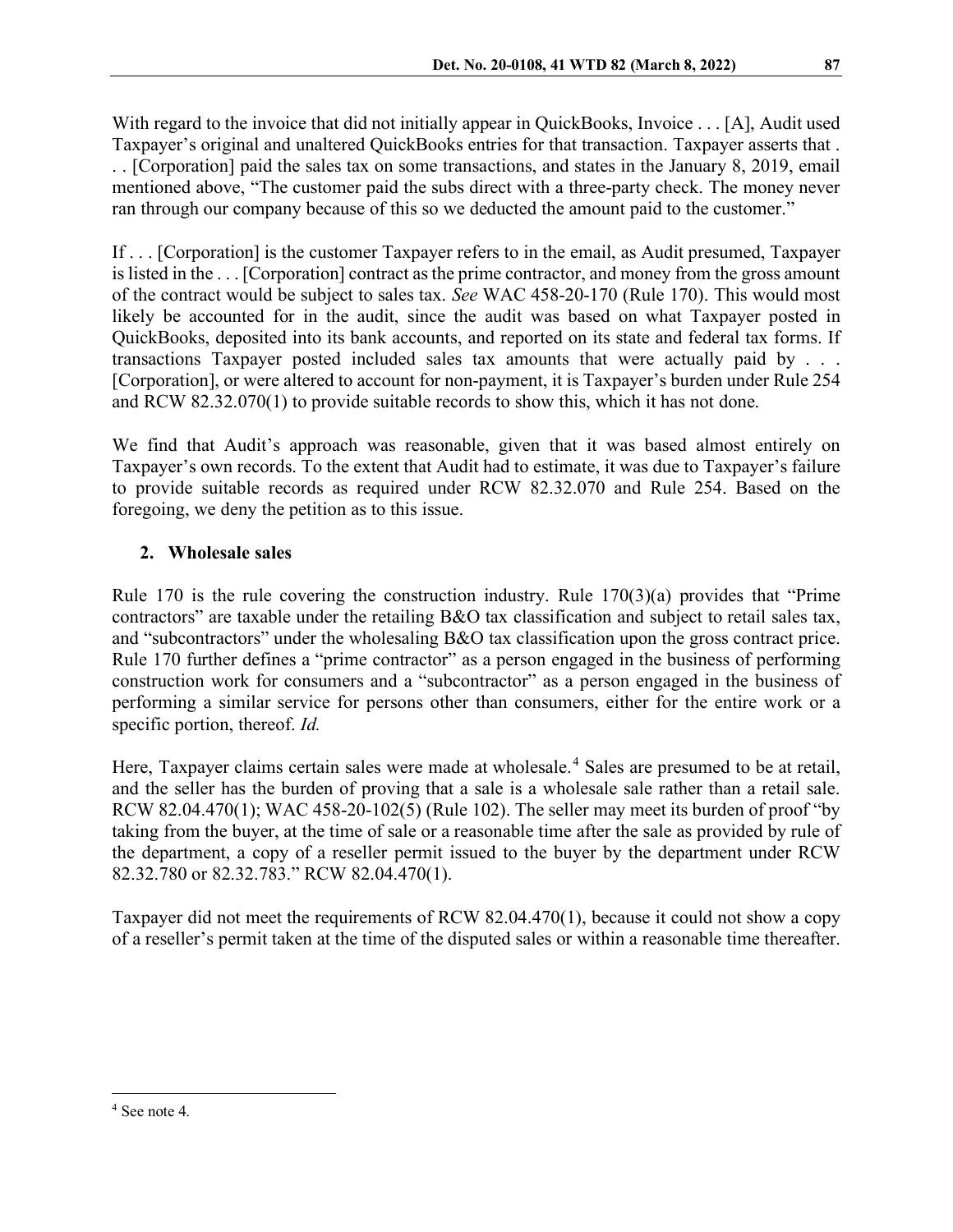With regard to the invoice that did not initially appear in QuickBooks, Invoice . . . [A], Audit used Taxpayer's original and unaltered QuickBooks entries for that transaction. Taxpayer asserts that . . . [Corporation] paid the sales tax on some transactions, and states in the January 8, 2019, email mentioned above, "The customer paid the subs direct with a three-party check. The money never ran through our company because of this so we deducted the amount paid to the customer."

If . . . [Corporation] is the customer Taxpayer refers to in the email, as Audit presumed, Taxpayer is listed in the . . . [Corporation] contract as the prime contractor, and money from the gross amount of the contract would be subject to sales tax. *See* WAC 458-20-170 (Rule 170). This would most likely be accounted for in the audit, since the audit was based on what Taxpayer posted in QuickBooks, deposited into its bank accounts, and reported on its state and federal tax forms. If transactions Taxpayer posted included sales tax amounts that were actually paid by . . . [Corporation], or were altered to account for non-payment, it is Taxpayer's burden under Rule 254 and RCW 82.32.070(1) to provide suitable records to show this, which it has not done.

We find that Audit's approach was reasonable, given that it was based almost entirely on Taxpayer's own records. To the extent that Audit had to estimate, it was due to Taxpayer's failure to provide suitable records as required under RCW 82.32.070 and Rule 254. Based on the foregoing, we deny the petition as to this issue.

# **2. Wholesale sales**

Rule 170 is the rule covering the construction industry. Rule  $170(3)(a)$  provides that "Prime" contractors" are taxable under the retailing B&O tax classification and subject to retail sales tax, and "subcontractors" under the wholesaling B&O tax classification upon the gross contract price. Rule 170 further defines a "prime contractor" as a person engaged in the business of performing construction work for consumers and a "subcontractor" as a person engaged in the business of performing a similar service for persons other than consumers, either for the entire work or a specific portion, thereof. *Id.*

Here, Taxpayer claims certain sales were made at wholesale.<sup>[4](#page-5-0)</sup> Sales are presumed to be at retail, and the seller has the burden of proving that a sale is a wholesale sale rather than a retail sale. RCW 82.04.470(1); WAC 458-20-102(5) (Rule 102). The seller may meet its burden of proof "by taking from the buyer, at the time of sale or a reasonable time after the sale as provided by rule of the department, a copy of a reseller permit issued to the buyer by the department under RCW 82.32.780 or 82.32.783." RCW 82.04.470(1).

Taxpayer did not meet the requirements of RCW 82.04.470(1), because it could not show a copy of a reseller's permit taken at the time of the disputed sales or within a reasonable time thereafter.

<span id="page-5-0"></span><sup>4</sup> See note 4.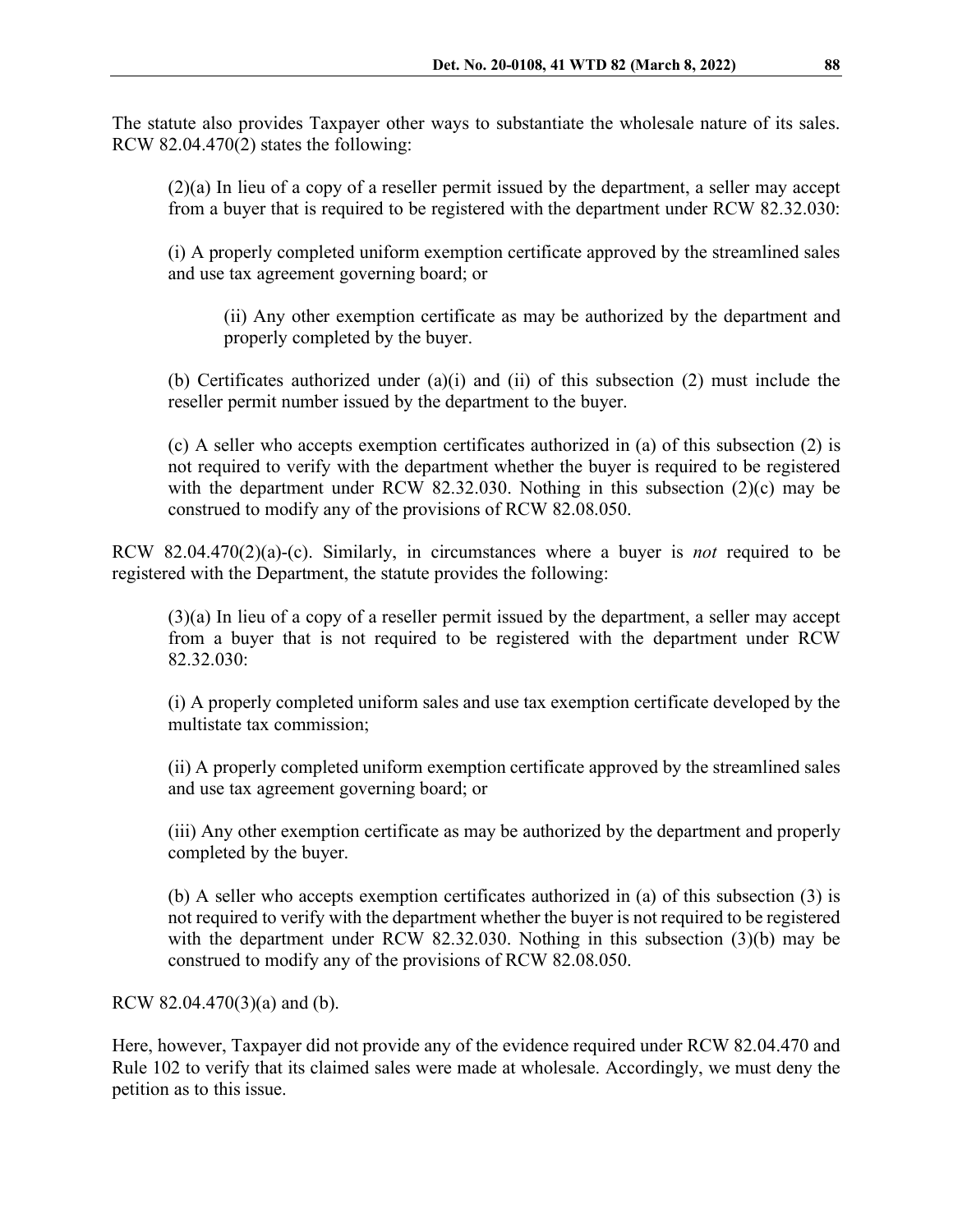The statute also provides Taxpayer other ways to substantiate the wholesale nature of its sales. RCW 82.04.470(2) states the following:

(2)(a) In lieu of a copy of a reseller permit issued by the department, a seller may accept from a buyer that is required to be registered with the department under RCW 82.32.030:

(i) A properly completed uniform exemption certificate approved by the streamlined sales and use tax agreement governing board; or

(ii) Any other exemption certificate as may be authorized by the department and properly completed by the buyer.

(b) Certificates authorized under (a)(i) and (ii) of this subsection (2) must include the reseller permit number issued by the department to the buyer.

(c) A seller who accepts exemption certificates authorized in (a) of this subsection (2) is not required to verify with the department whether the buyer is required to be registered with the department under RCW 82.32.030. Nothing in this subsection (2)(c) may be construed to modify any of the provisions of RCW 82.08.050.

RCW 82.04.470(2)(a)-(c). Similarly, in circumstances where a buyer is *not* required to be registered with the Department, the statute provides the following:

(3)(a) In lieu of a copy of a reseller permit issued by the department, a seller may accept from a buyer that is not required to be registered with the department under RCW 82.32.030:

(i) A properly completed uniform sales and use tax exemption certificate developed by the multistate tax commission;

(ii) A properly completed uniform exemption certificate approved by the streamlined sales and use tax agreement governing board; or

(iii) Any other exemption certificate as may be authorized by the department and properly completed by the buyer.

(b) A seller who accepts exemption certificates authorized in (a) of this subsection (3) is not required to verify with the department whether the buyer is not required to be registered with the department under RCW 82.32.030. Nothing in this subsection (3)(b) may be construed to modify any of the provisions of RCW 82.08.050.

RCW 82.04.470(3)(a) and (b).

Here, however, Taxpayer did not provide any of the evidence required under RCW 82.04.470 and Rule 102 to verify that its claimed sales were made at wholesale. Accordingly, we must deny the petition as to this issue.